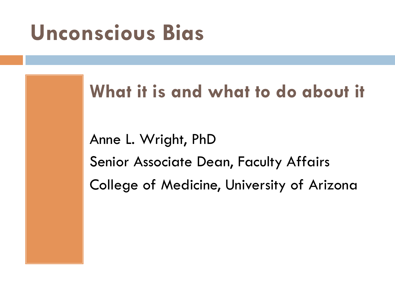## **Unconscious Bias**

#### **What it is and what to do about it**

Anne L. Wright, PhD Senior Associate Dean, Faculty Affairs College of Medicine, University of Arizona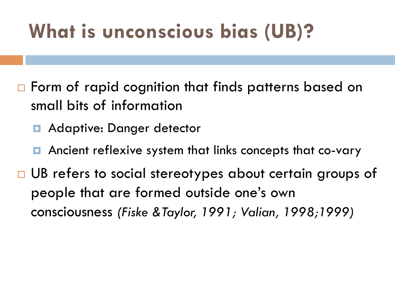#### **What is unconscious bias (UB)?**

- $\Box$  Form of rapid cognition that finds patterns based on small bits of information
	- **□** Adaptive: Danger detector
	- Ancient reflexive system that links concepts that co-vary
- □ UB refers to social stereotypes about certain groups of people that are formed outside one's own consciousness *(Fiske &Taylor, 1991; Valian, 1998;1999)*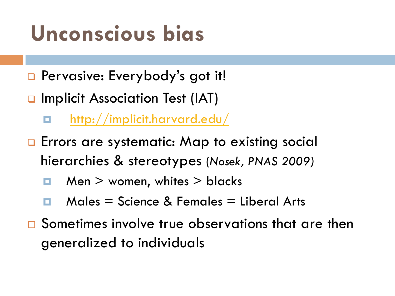## **Unconscious bias**

- **Q** Pervasive: Everybody's got it!
- **Q Implicit Association Test (IAT)** 
	- ¤ http://implicit.harvard.edu/
- **Q** Errors are systematic: Map to existing social hierarchies & stereotypes (*Nosek, PNAS 2009)*
	- $\Box$  Men  $>$  women, whites  $>$  blacks
	- $Males = Science & Females = Liberal Arts$
- $\square$  Sometimes involve true observations that are then generalized to individuals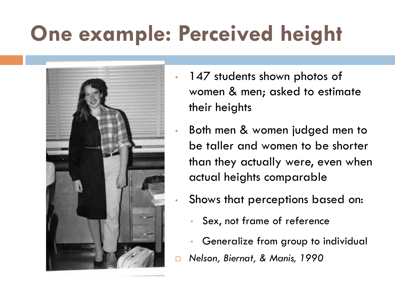# **One example: Perceived height**



- 147 students shown photos of women & men; asked to estimate their heights
	- Both men & women judged men to be taller and women to be shorter than they actually were, even when actual heights comparable
	- Shows that perceptions based on:
		- Sex, not frame of reference
		- Generalize from group to individual
- ¨ *Nelson, Biernat, & Manis, 1990*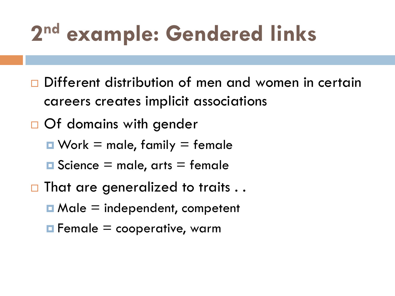# **2nd example: Gendered links**

- $\square$  Different distribution of men and women in certain careers creates implicit associations
- $\Box$  Of domains with gender
	- $\blacksquare$  Work = male, family = female
	- $\blacksquare$  Science = male, arts = female
- $\square$  That are generalized to traits ..
	- $\blacksquare$  Male  $\blacksquare$  independent, competent
	- $\blacksquare$  Female = cooperative, warm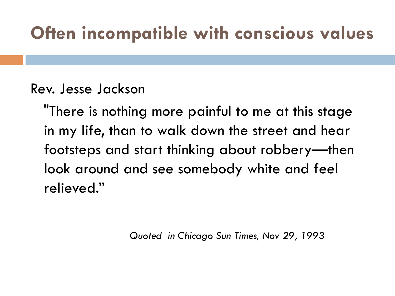#### **Often incompatible with conscious values**

#### Rev. Jesse Jackson

 "There is nothing more painful to me at this stage in my life, than to walk down the street and hear footsteps and start thinking about robbery—then look around and see somebody white and feel relieved."

*Quoted in Chicago Sun Times, Nov 29, 1993*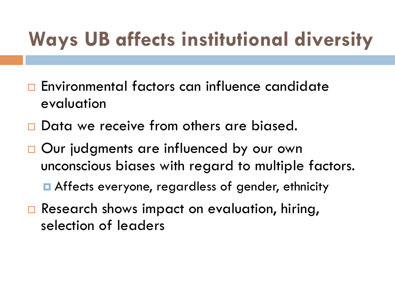## **Ways UB affects institutional diversity**

- $\square$  Environmental factors can influence candidate evaluation
- $\square$  Data we receive from others are biased.
- □ Our judgments are influenced by our own unconscious biases with regard to multiple factors.

¤ Affects everyone, regardless of gender, ethnicity

 $\Box$  Research shows impact on evaluation, hiring, selection of leaders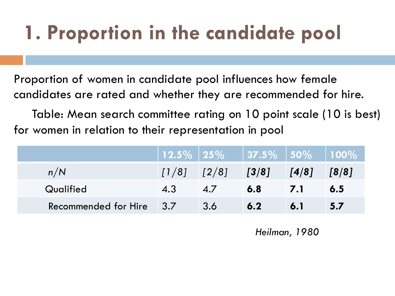## **1. Proportion in the candidate pool**

Proportion of women in candidate pool influences how female candidates are rated and whether they are recommended for hire.

 Table: Mean search committee rating on 10 point scale (10 is best) for women in relation to their representation in pool

|                      |                                       | $\mid$ 12.5% $\mid$ 25% $\mid$ 37.5% $\mid$ 50% $\mid$ 100% |       |       |       |
|----------------------|---------------------------------------|-------------------------------------------------------------|-------|-------|-------|
| n/N                  | $\left[1/8\right]$ $\left[2/8\right]$ |                                                             | [3/8] | [4/8] | [8/8] |
| Qualified            | 4.3                                   | 4.7                                                         | 6.8   | 7.1   | 6.5   |
| Recommended for Hire | $\vert$ 3.7                           | 3.6                                                         | 6.2   | 6.1   | 5.7   |

*Heilman, 1980*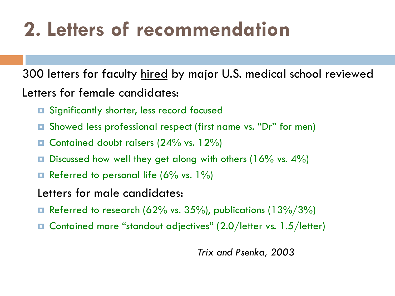#### **2. Letters of recommendation**

300 letters for faculty hired by major U.S. medical school reviewed Letters for female candidates:

- **□** Significantly shorter, less record focused
- ¤ Showed less professional respect (first name vs. "Dr" for men)
- **□** Contained doubt raisers (24% vs. 12%)
- $\Box$  Discussed how well they get along with others (16% vs. 4%)
- **□** Referred to personal life (6% vs. 1%)
- Letters for male candidates:
- $\blacksquare$  Referred to research (62% vs. 35%), publications (13%/3%)
- ¤ Contained more "standout adjectives" (2.0/letter vs. 1.5/letter)

*Trix and Psenka, 2003*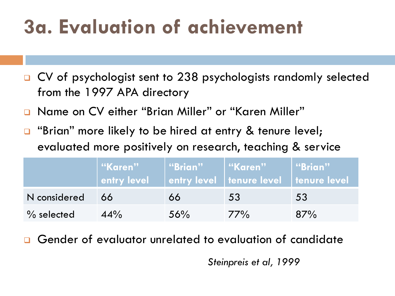### **3a. Evaluation of achievement**

- □ CV of psychologist sent to 238 psychologists randomly selected from the 1997 APA directory
- <sup>q</sup> Name on CV either "Brian Miller" or "Karen Miller"
- **a** "Brian" more likely to be hired at entry & tenure level; evaluated more positively on research, teaching & service

|               | ""Karen"<br>entry level | "Brian" | l   "Karen"  <br>entry level tenure level tenure level | "Brian" |
|---------------|-------------------------|---------|--------------------------------------------------------|---------|
| N considered  | 66                      | 66      | 53                                                     | 53      |
| $\%$ selected | 44%                     | 56%     | 77%                                                    | 87%     |

Gender of evaluator unrelated to evaluation of candidate

*Steinpreis et al, 1999*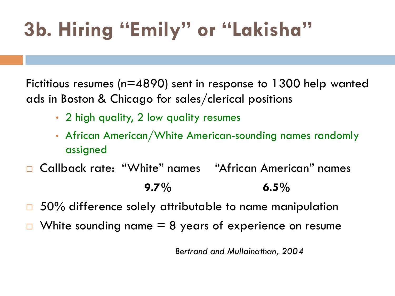## **3b. Hiring "Emily" or "Lakisha"**

Fictitious resumes (n=4890) sent in response to 1300 help wanted ads in Boston & Chicago for sales/clerical positions

- 2 high quality, 2 low quality resumes
- African American/White American-sounding names randomly assigned
- □ Callback rate: "White" names "African American" names **9.7% 6.5%**
- $\Box$  50% difference solely attributable to name manipulation
- White sounding name  $= 8$  years of experience on resume

*Bertrand and Mullainathan, 2004*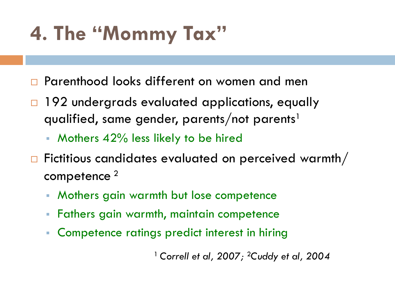### **4. The "Mommy Tax"**

- □ Parenthood looks different on women and men
- $\Box$  192 undergrads evaluated applications, equally qualified, same gender, parents/not parents<sup>1</sup>
	- § Mothers 42% less likely to be hired
- $\Box$  Fictitious candidates evaluated on perceived warmth/ competence 2
	- § Mothers gain warmth but lose competence
	- § Fathers gain warmth, maintain competence
	- § Competence ratings predict interest in hiring

1 *Correll et al, 2007;* 2*Cuddy et al, 2004*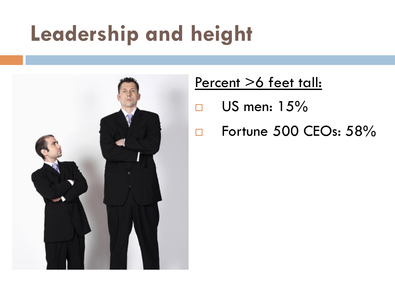## **Leadership and height**



#### Percent >6 feet tall:

- $\Box$  US men: 15%
- $\Box$  Fortune 500 CEOs: 58%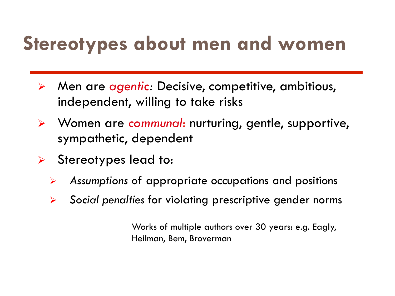#### **Stereotypes about men and women**

- Ø Men are *agentic:* Decisive, competitive, ambitious, independent, willing to take risks
- Ø Women are *communal*: nurturing, gentle, supportive, sympathetic, dependent
- $\triangleright$  Stereotypes lead to:
	- Ø *Assumptions* of appropriate occupations and positions
	- Ø *Social penalties* for violating prescriptive gender norms

Works of multiple authors over 30 years: e.g. Eagly, Heilman, Bem, Broverman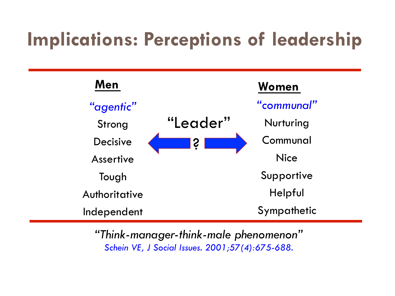#### **Implications: Perceptions of leadership**



*"Think-manager-think-male phenomenon" Schein VE, J Social Issues. 2001;57(4):675-688.*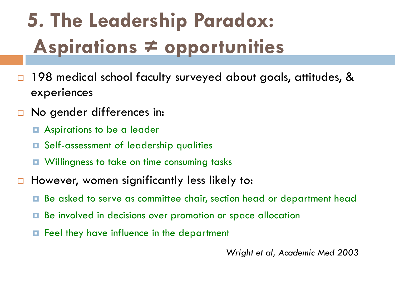## **5. The Leadership Paradox: Aspirations ≠ opportunities**

- $\Box$  198 medical school faculty surveyed about goals, attitudes, & experiences
- $\Box$  No gender differences in:
	- **□** Aspirations to be a leader
	- ¤ Self-assessment of leadership qualities
	- ¤ Willingness to take on time consuming tasks
- $\Box$  However, women significantly less likely to:
	- ¤ Be asked to serve as committee chair, section head or department head
	- **□** Be involved in decisions over promotion or space allocation
	- ¤ Feel they have influence in the department

*Wright et al, Academic Med 2003*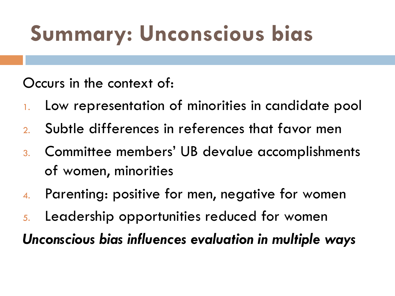# **Summary: Unconscious bias**

Occurs in the context of:

- 1. Low representation of minorities in candidate pool
- 2. Subtle differences in references that favor men
- 3. Committee members' UB devalue accomplishments of women, minorities
- 4. Parenting: positive for men, negative for women
- 5. Leadership opportunities reduced for women

*Unconscious bias influences evaluation in multiple ways*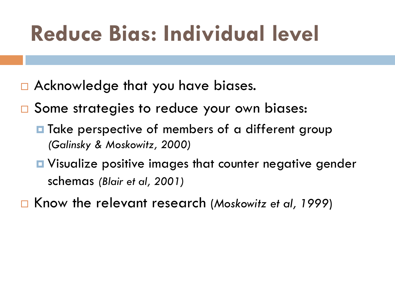# **Reduce Bias: Individual level**

- $\Box$  Acknowledge that you have biases.
- □ Some strategies to reduce your own biases:
	- **□** Take perspective of members of a different group *(Galinsky & Moskowitz, 2000)*
	- **□** Visualize positive images that counter negative gender schemas *(Blair et al, 2001)*
- ¨ Know the relevant research (*Moskowitz et al, 1999*)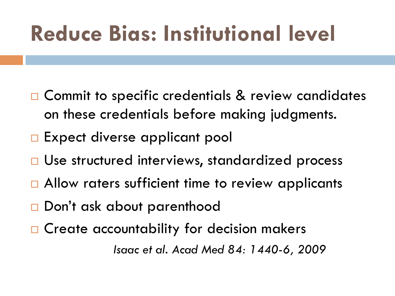# **Reduce Bias: Institutional level**

- $\square$  Commit to specific credentials & review candidates on these credentials before making judgments.
- □ Expect diverse applicant pool
- □ Use structured interviews, standardized process
- $\Box$  Allow raters sufficient time to review applicants
- □ Don't ask about parenthood
- $\Box$  Create accountability for decision makers

 *Isaac et al. Acad Med 84: 1440-6, 2009*